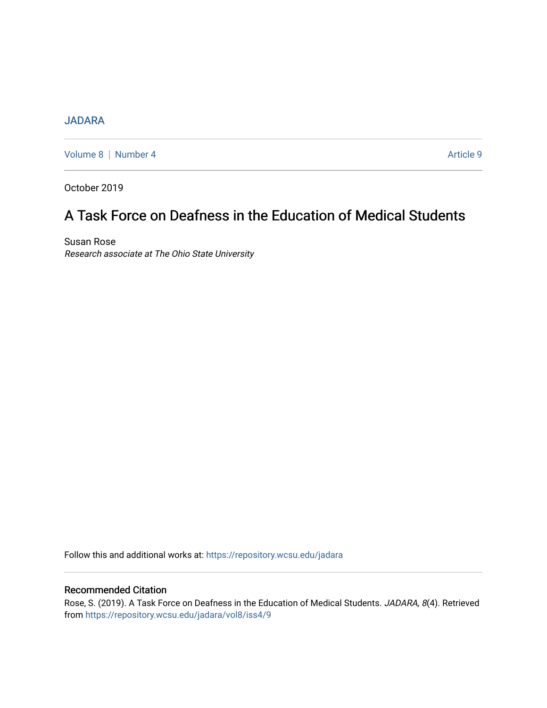## [JADARA](https://repository.wcsu.edu/jadara)

[Volume 8](https://repository.wcsu.edu/jadara/vol8) | [Number 4](https://repository.wcsu.edu/jadara/vol8/iss4) Article 9

October 2019

# A Task Force on Deafness in the Education of Medical Students

Susan Rose Research associate at The Ohio State University

Follow this and additional works at: [https://repository.wcsu.edu/jadara](https://repository.wcsu.edu/jadara?utm_source=repository.wcsu.edu%2Fjadara%2Fvol8%2Fiss4%2F9&utm_medium=PDF&utm_campaign=PDFCoverPages)

## Recommended Citation

Rose, S. (2019). A Task Force on Deafness in the Education of Medical Students. JADARA, 8(4). Retrieved from [https://repository.wcsu.edu/jadara/vol8/iss4/9](https://repository.wcsu.edu/jadara/vol8/iss4/9?utm_source=repository.wcsu.edu%2Fjadara%2Fvol8%2Fiss4%2F9&utm_medium=PDF&utm_campaign=PDFCoverPages)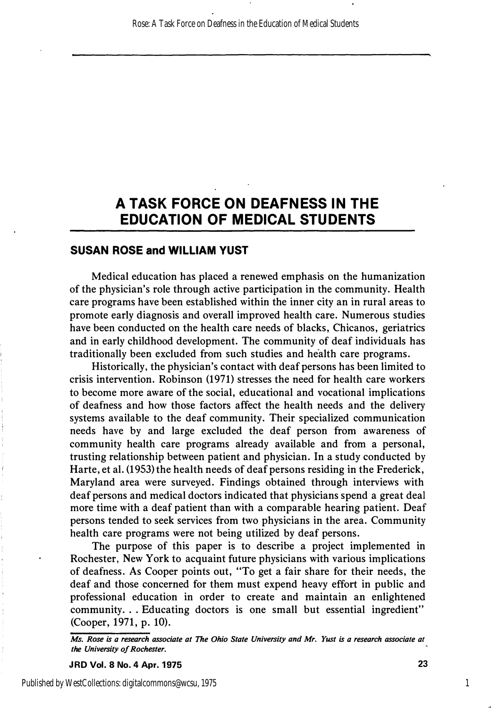## **A TASK FORCE ON DEAFNESS IN THE EDUCATION OF MEDICAL STUDENTS**

## **SUSAN ROSE and WILLIAM YUST**

**Medical education has placed a renewed emphasis on the humanization of the physician's role through active participation in the community. Health care programs have been established within the inner city an in rural areas to promote early diagnosis and overall improved health care. Numerous studies have been conducted on the health care needs of blacks, Chicanos, geriatrics and in early childhood development. The community of deaf individuals has traditionally been excluded from such studies and health care programs.** 

**Historically, the physician's contact with deaf persons has been limited to crisis intervention. Robinson (1971) stresses the need for health care workers to become more aware of the social, educational and vocational implications of deafness and how those factors affect the health needs and the delivery systems available to the deaf community. Their specialized communication needs have by and large excluded the deaf person from awareness of community health care programs already available and from a personal, trusting relationship between patient and physician. In a study conducted by Harte, et al. (1953) the health needs of deaf persons residing in the Frederick, Maryland area were surveyed. Findings obtained through interviews with deaf persons and medical doctors indicated that physicians spend a great deal more time with a deaf patient than with a comparable hearing patient. Deaf persons tended to seek services from two physicians in the area. Community health care programs were not being utilized by deaf persons.** 

**The purpose of this paper is to describe a project implemented in Rochester, New York to acquaint future physicians with various implications of deafness. As Cooper points out, "To get a fair share for their needs, the deaf and those concerned for them must expend heavy effort in public and professional education in order to create and maintain an enlightened**  community... Educating doctors is one small but essential ingredient" **(Cooper, 1971, p. 10).** 

*Ms. Rose is a research associate at The Ohio State University and Mr. Yust is a research associate at the University of Rochester.* 

**JRD Vol. 8 No. 4 Apr. 1975** 23

1

Published by WestCollections: digitalcommons@wcsu, 1975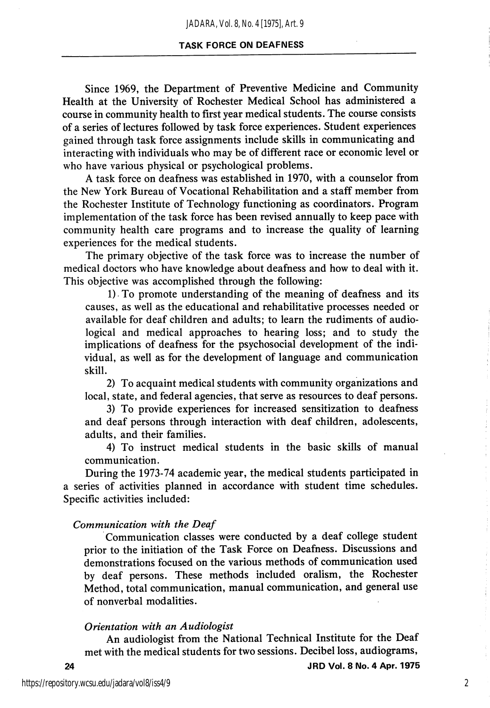### TASK FORCE ON DEAFNESS

Since 1969, the Department of Preventive Medicine and Community Health at the University of Rochester Medical School has administered a course in community health to first year medical students. The course consists of a series of lectures followed by task force experiences. Student experiences gained through task force assignments include skills in communicating and interacting with individuals who may be of different race or economic level or who have various physical or psychological problems.

A task force on deafness was established in 1970, with a counselor from the New York Bureau of Vocational Rehabilitation and a staff member from the Rochester Institute of Technology functioning as coordinators. Program implementation of the task force has been revised annually to keep pace with community health care programs and to increase the quality of learning experiences for the medical students.

The primary objective of the task force was to increase the number of medical doctors who have knowledge about deafness and how to deal with it. This objective was accomplished through the following:

1) To promote understanding of the meaning of deafness and its causes, as well as the educational and rehabilitative processes needed or available for deaf children and adults; to learn the rudiments of audiological and medical approaches to hearing loss; and to study the implications of deafness for the psychosocial development of the indi vidual, as well as for the development of language and communication skill.

2) To acquaint medical students with community organizations and local, state, and federal agencies, that serve as resources to deaf persons.

3) To provide experiences for increased sensitization to deafness and deaf persons through interaction with deaf children, adolescents, adults, and their families.

4) To instruct medical students in the basic skills of manual communication.

During the 1973-74 academic year, the medical students participated in a series of activities planned in accordance with student time schedules. Specific activities included:

#### Communication with the Deaf

Communication classes were conducted by a deaf college student prior to the initiation of the Task Force on Deafness. Discussions and demonstrations focused on the various methods of communication used by deaf persons. These methods included oralism, the Rochester Method, total communication, manual communication, and general use of nonverbal modalities.

#### Orientation with an Audiologist

An audiologist from the National Technical Institute for the Deaf met with the medical students for two sessions. Decibel loss, audiograms,

2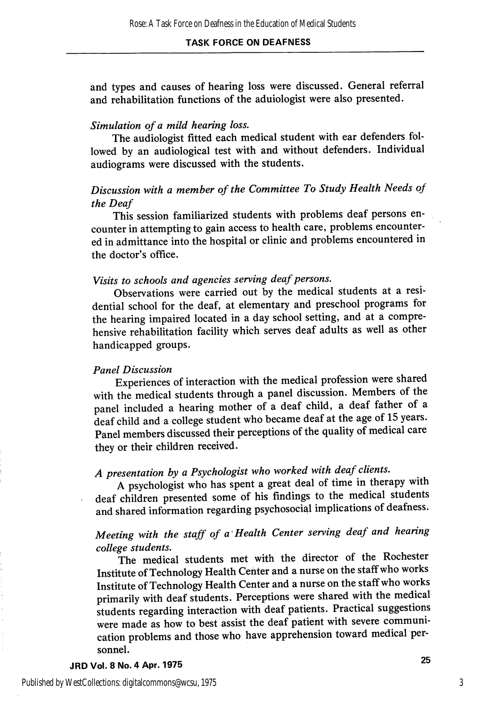and types and causes of hearing loss were discussed. General referral and rehabilitation functions of the aduiologist were also presented.

#### Simulation of a mild hearing loss.

The audiologist fitted each medical student with ear defenders fol lowed by an audiological test with and without defenders. Individual audiograms were discussed with the students.

## Discussion with a member of the Committee To Study Health Needs of the Deaf

This session familiarized students with problems deaf persons en counter in attempting to gain access to health care, problems encounter ed in admittance into the hospital or clinic and problems encountered in the doctor's office.

## Visits to schools and agencies serving deaf persons.

Observations were carried out by the medical students at a resi dential school for the deaf, at elementary and preschool programs for the hearing impaired located in a day school setting, and at a compre hensive rehabilitation facility which serves deaf adults as well as other handicapped groups.

## Panel Discussion

Experiences of interaction with the medical profession were shared with the medical students through a panel discussion. Members of the panel included a hearing mother of a deaf child, a deaf father of a deaf child and a college student who became deaf at the age of 15 years. Panel members discussed their perceptions of the quality of medical care they or their children received.

# A presentation by a Psychologist who worked with deaf clients.

A psychologist who has spent a great deal of time in therapy with deaf children presented some of his findings to the medical students and shared information regarding psychosocial implications of deafness.

## Meeting with the staff of a Health Center serving deaf and hearing college students.

The medical students met with the director of the Rochester Institute of Technology Health Center and a nurse on the staff who works Institute of Technology Health Center and a nurse on the staff who works primarily with deaf students. Perceptions were shared with the medical students regarding interaction with deaf patients. Practical suggestions were made as how to best assist the deaf patient with severe communi cation problems and those who have apprehension toward medical per sonnel.

### JRD Vol. 8 No. 4 Apr. 1975